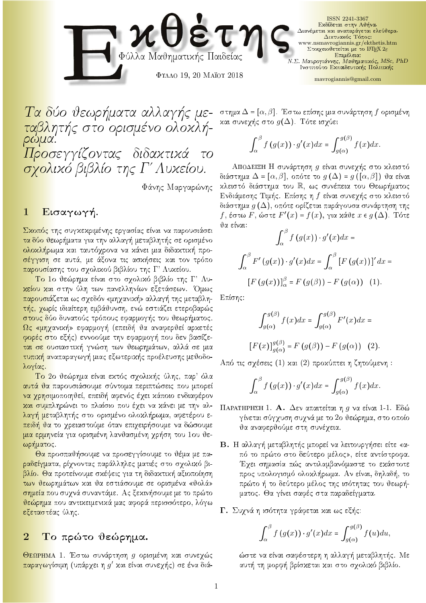

Ta dò jewr mata allag allag allag allag allag allag allag allag allag allag allag allag allag allag allag alla table table orismèno orismèno orismèno orismèno de l'anticola de l'anticola de l'anticola de l'anticola de l'a rwma. Προσεγγίζοντας διδακτικά το σχολικό βιβλίο της Γ΄ Λυκείου.

Φάνης Μαργαρώνης

#### $\mathbf{1}$  $E$ ισαγωγή.

Σκοπός της συγκεκριμένης εργασίας είναι να παρουσιάσει <mark>τα δύο θε</mark>ωρήματα για την αλλαγή μεταβλητής σε ορισμένο <mark>ολοχλήρω</mark>μα χαι ταυτόχρονα να χάνει μια διδαχτιχή προ-<mark>σέγγιση</mark> σε αυτά, με άξονα τις ασχήσεις χαι τον τρόπο παρουσίασης του σχολικού βιβλίου της Γ' Λυκείου.

To 10 θεώρημα είναι στο σχολικό βιβλίο της Γ' Λυκείου και στην ύλη των πανελληνίων εξετάσεων. Όμως <mark>παρουσιά</mark>ζεται ως σχεδόν «μηχανική» αλλαγή της μεταβλητής, χωρίς ιδιαίτερη εμβάθυνση, ενώ εστιάζει ετεροβαρώς <mark>στους δύ</mark>ο δυνατούς τρόπους εφαρμογής του θεωρήματος. <u>Ως</u> «μηχανική» εφαρμογή (επειδή θα αναφερθεί αρκετές φορές στο εξής) εννοούμε την εφαρμογή που δεν βασίζεται σε ουσιαστική γνώση των θεωρημάτων, αλλά σε μια τυπική αναπαραγωγή μιας εξωτερικής προέλευσης μεθοδολογίας.

Το 2ο θεώρημα είναι εκτός σχολικής ύλης, παρ' όλα αυτά θα παρουσιάσουμε σύντομα περιπτώσεις που μπορεί <mark>να χρησι</mark>μοποιηθεί, επειδή αφενός έχει κάποιο ενδιαφέρον και συμπληρώνει το πλαίσιο που έχει να κάνει με την αλλαγή μεταβλητής στο ορισμένο ολοχλήρωμα, αφετέρου ε-<mark>πειδή θα</mark> το χρειαστούμε όταν επιχειρήσουμε να δώσουμε <mark>μια ερμην</mark>εία για ορισμένη λανθασμένη χρήση του 1ου θεωρήματος.

<mark>Θα π</mark>ροσπαθήσουμε να προσεγγίσουμε το θέμα με πα-<mark>ραδείγματ</mark>α, ρίχνοντας παράλληλες ματιές στο σχολικό βιβλίο. Θα προτείνουμε σκέψεις για τη διδακτική αξιοποίηση των θεωρημάτων και θα εστιάσουμε σε ορισμένα «θολά» <mark>σημεία πο</mark>υ συχνά συναντάμε. Ας ξεχινήσουμε με το πρώτο <mark>θεώρημα</mark> που αντιχειμενιχά μας αφορά περισσότερο, λόγω εξεταστέας ύλης.

# 2 Το πρώτο θεώρημα.

ΘεΩΡΗΜΑ 1. Έστω συνάρτηση g ορισμένη και συνεχώς <mark>παραγωγί</mark>σιμη (υπάρχει η *g*′ και είναι συνεχής) σε ένα διάστημα  $\Delta = [\alpha, \beta]$ . Έστω επίσης μια συνάρτηση  $f$  ορισμένη και συνεχής στο  $g(\Delta)$ . Τότε ισχύει

$$
\int_{\alpha}^{\beta} f(g(x)) \cdot g'(x) dx = \int_{g(\alpha)}^{g(\beta)} f(x) dx.
$$

ΑποΔΕΙΞΗ Η συνάρτηση g είναι συνεχής στο κλειστό διάστημα  $\Delta = [\alpha, \beta]$ , οπότε το  $g(\Delta) = g([\alpha, \beta])$  θα είναι κλειστό διάστημα του R, ως συνέπεια του Θεωρήματος Ενδιάμεσης Τιμής. Επίσης η f είναι συνεχής στο κλειστό διάστημα  $g\left(\Delta\right)$ , οπότε ορίζεται παράγουσα συνάρτηση της  $f,$  έστω  $F,$  ώστε  $F'(x)$  =  $f(x),$  για κάθε  $x\in g\left(\Delta\right).$  Τότε θα είναι:

$$
\int_{\alpha}^{\beta} f(g(x)) \cdot g'(x) dx =
$$

$$
\int_{\alpha}^{\beta} F'(g(x)) \cdot g'(x) dx = \int_{\alpha}^{\beta} [F(g(x))]' dx =
$$

$$
[F(g(x))]_{\alpha}^{\beta} = F(g(\beta)) - F(g(\alpha)) \quad (1).
$$

Eπίσης:

<sup>S</sup>

$$
\int_{g(\alpha)}^{g(\beta)} f(x)dx = \int_{g(\alpha)}^{g(\beta)} F'(x)dx =
$$
  

$$
[F(x)]_{g(\alpha)}^{g(\beta)} = F(g(\beta)) - F(g(\alpha)) \quad (2).
$$

Από τις σχέσεις (1) και (2) προκύπτει η ζητούμενη:

$$
\int_{\alpha}^{\beta} f(g(x)) \cdot g'(x) dx = \int_{g(\alpha)}^{g(\beta)} f(x) dx.
$$

- $\Pi$ ΑΡΑΤΗΡΗΣΗ 1. Α. Δεν απαιτείται η g να είναι 1-1. Εδώ γίνεται σύγχυση συχνά με το 2ο θεώρημα, στο οποίο θα αναφερθούμε στη συνέχεια.
- B. Η αλλαγή μεταβλητής μπορεί να λειτουργήσει είτε «από το πρώτο στο δεύτερο μέλος», είτε αντίστροφα. Έχει σημασία πώς αντιλαμβανόμαστε το εκάστοτε προς υπολογισμό ολοκλήρωμα. Αν είναι, δηλαδή, το πρώτο ή το δεύτερο μέλος της ισότητας του θεωρήματος. Θα γίνει σαφές στα παραδείγματα.
- Γ. Συχνά η ισότητα γράφεται και ως εξής:

$$
\int_{\alpha}^{\beta} f(g(x)) \cdot g'(x) dx = \int_{g(\alpha)}^{g(\beta)} f(u) du,
$$

ώστε να είναι σαφέστερη η αλλαγή μεταβλητής. Με αυτή τη μορφή βρίσκεται και στο σχολικό βιβλίο.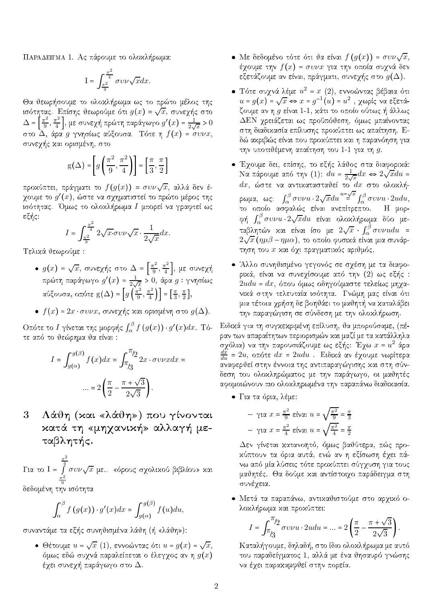ΠΑΡΑΔΕΙΓΜΑ 1. Ας πάρουμε το ολοχλήρωμα:

$$
\mathrm{I}=\int_{\frac{\pi^2}{9}}^{\frac{\pi^2}{4}}\sigma v \nu \sqrt{x} dx.
$$

Θα θεωρήσουμε το ολοχλήρωμα ως το πρώτο μέλος της ισότητας. Επίσης θεωρούμε ότι  $g(x) = \sqrt{x}$ , συνεχής στο  $\Delta = \left[\frac{\pi^2}{9}, \frac{\pi^2}{4}\right]$ , με συνεχή πρώτη παράγωγο  $g'(x) = \frac{1}{2\sqrt{x}} > 0$  στο  $\Delta$ , άρα g γνησίως αύξουσα. Τότε η  $f(x) = \sigma v \nu x$ , συνεχής και ορισμένη, στο

$$
g(\Delta) = \left[ g\left(\frac{\pi^2}{9}, \frac{\pi^2}{4}\right) \right] = \left[ \frac{\pi}{3}, \frac{\pi}{2} \right]
$$

προχύπτει, πράγματι το  $f(g(x)) = \sigma v \nu \sqrt{x}$ , αλλά δεν έχουμε το  $g'(x),$  ώστε να σχηματιστεί το πρώτο μέρος της ισότητας. Όμως το ολοχλήρωμα Ι μπορεί να γραφτεί ως εξής:

$$
I = \int_{\frac{\pi^2}{9}}^{\frac{\pi^2}{4}} 2\sqrt{x} \sigma v \nu \sqrt{x} \cdot \frac{1}{2\sqrt{x}} dx.
$$

Τελικά θεωρούμε:

- $g(x) = \sqrt{x}$ , συνεχής στο  $\Delta = \left[\frac{\pi^2}{9}, \frac{\pi^2}{4}\right]$ , με συνεχή<br>πρώτη παράγωγο  $g'(x) = \frac{1}{2\sqrt{x}} > 0$ , άρα  $g$ : γνησίως αύξουσα, οπότε g(Δ) =  $\left[g\left(\frac{\pi^2}{9}, \frac{\pi^2}{4}\right)\right]$  =  $\left[\frac{\pi}{3}, \frac{\pi}{2}\right]$
- $f(x) = 2x \cdot \sigma v \nu x$ , συνεχής και ορισμένη στο  $g(\Delta)$ .

Οπότε το  $I$ γίνεται της μορφής $\int_\alpha^\beta f\left(g(x)\right)\cdot g'(x)dx$ . Τότε από το θεώρημα θα είναι:

$$
I = \int_{g(\alpha)}^{g(\beta)} f(x)dx = \int_{\pi/3}^{\pi/2} 2x \cdot \sigma v \nu x dx =
$$

$$
\dots = 2\left(\frac{\pi}{2} - \frac{\pi + \sqrt{3}}{2\sqrt{3}}\right).
$$

Λάθη (και «λάθη») που γίνονται 3 κατά τη «μηχανική» αλλαγή μεταβλητής.

Για το Ι =  $\int_{-\pi/2}^{\frac{\pi}{4}} \sigma v \nu \sqrt{x}$  με.. «όρους σχολικού βιβλίου» και δεδομένη την ισότητα

$$
\int_{\alpha}^{\beta} f(g(x)) \cdot g'(x) dx = \int_{g(\alpha)}^{g(\beta)} f(u) du,
$$

συναντάμε τα εξής συνηθισμένα λάθη (ή «λάθη»):

 $\bullet$  Θέτουμε  $u = \sqrt{x}$  (1), εννοώντας ότι  $u = g(x) = \sqrt{x}$ όμως εδώ συχνά παραλείπεται ο έλεγχος αν η  $g(x)$ έχει συνεχή παράγωγο στο  $\Delta.$ 

- Με δεδομένο τότε ότι θα είναι  $f(g(x)) = \sigma v \nu \sqrt{x},$ έχουμε την  $f(x) = \sigma v \nu x$  για την οποία συχνά δεν εξετάζουμε αν είναι, πράγματι, συνεχής στο  $g(\Delta).$
- Τότε συχνά λέμε $u^2 = x(2)$ , εννοώντας βέβαια ότι  $u = g(x) = \sqrt{x} \Leftrightarrow x = g^{-1}(u) = u^2$ , χωρίς να εξετάζουμε αν η  $g$  είναι 1-1, κάτι το οποίο ούτως ή άλλως  $\Delta \text{EN}$  χρειάζεται ως προϋπόθεση, όμως μπαίνοντας στη διαδικασία επίλυσης προκύπτει ως απαίτηση. Εδώ ακριβώς είναι που προκύπτει και η παρανόηση για την υποτιθέμενη απαίτηση του 1-1 για τη  $g$ .
- Έχουμε δει, επίσης, το εξής λάθος στα διαφορικά: Να πάρουμε από την (1):  $du = \frac{1}{2\sqrt{x}}dx$  ⇔ 2 $\sqrt{x}du$  =  $dx$ , ώστε να αντικατασταθεί το  $dx$  στο ολοκλήρωμα, ως:  $\int_\alpha^\beta \sigma \upsilon \nu u \cdot 2 \sqrt{x} du \stackrel{u=\sqrt{x}}{=} \int_\alpha^\beta \sigma \upsilon \nu u \cdot 2u du,$ το οποίο ασφαλώς είναι ανεπίτρεπτο. Η μορφή  $\int_{\alpha}^{\beta} \sigma v \nu u \cdot 2\sqrt{x} du$  είναι ολοχλήρωμα δύο μεταβλητών χαι είναι ίσο με  $2\sqrt{x} \cdot \int_{\alpha}^{\beta} \sigma v \nu u du =$  $2\sqrt{x}$  (ημβ – ημα), το οποίο φυσικά είναι μια συνάρτηση του x και όχι πραγματικός αριθμός.
- Άλλο συνηθισμένο γεγονός σε σχέση με τα διαφορικά, είναι να συνεχίσουμε από την (2) ως εξής :  $2udu = dx$ , όπου όμως οδηγούμαστε τελείως μηχανικά στην τελευταία ισότητα. Γνώμη μας είναι ότι μια τέτοια χρήση δε βοηθάει το μαθητή να καταλάβει την παραγώγιση σε σύνδεση με την ολοχλήρωση.

Ειδικά για τη συγκεκριμένη επίλυση, θα μπορούσαμε, (πέραν των απαραίτητων περιορισμών και μαζί με τα κατάλληλα σχόλια) να την παρουσιάζουμε ως εξής: Έχω  $x = u^2$  άρα  $\frac{dx}{du}$  = 2u, οπότε  $dx = 2udu$ . Ειδικά αν έχουμε νωρίτερα αναφερθεί στην έννοια της αντιπαραγώγισης και στη σύνδεση του ολοχληρώματος με την παράγωγο, οι μαθητές αφομοιώνουν πιο ολοχληρωμένα την παραπάνω διαδιχασία.

• Για τα όρια, λέμε:

$$
-\gamma \alpha \ x = \frac{\pi^2}{9} \varepsilon \text{for all } u = \sqrt{\frac{\pi^2}{9}} = \frac{\pi}{3}
$$

$$
-\gamma \alpha \ x = \frac{\pi^2}{4} \varepsilon \text{for all } u = \sqrt{\frac{\pi^2}{4}} = \frac{\pi}{2}
$$

Δεν γίνεται κατανοητό, όμως βαθύτερα, πώς προκύπτουν τα όρια αυτά, ενώ αν η εξίσωση έχει πάνω από μία λύσεις τότε προχύπτει σύγχυση για τους μαθητές. Θα δούμε και αντίστοιχο παράδειγμα στη συνέχεια.

• Μετά τα παραπάνω, αντικαθιστούμε στο αρχικό ολοκλήρωμα και προκύπτει:

$$
I=\int_{\pi/3}^{\pi/2}\sigma v \nu u\cdot 2u du=...=2\left(\frac{\pi}{2}-\frac{\pi+\sqrt{3}}{2\sqrt{3}}\right).
$$

Καταλήγουμε, δηλαδή, στο ίδιο ολοκλήρωμα με αυτό του παραδείγματος 1, αλλά με ένα θησαυρό γνώσης να έχει παρακαμφθεί στην πορεία.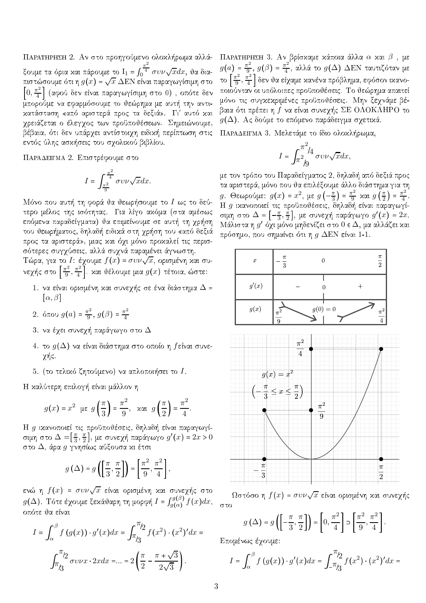ΠΑΡΑΤΗΡΗΣΗ 2. Αν στο προηγούμενο ολοκλήρωμα αλλάξουμε τα όρια και πάρουμε το  $I_1 = \int_0^{\frac{\pi^2}{4}} \sigma v \nu \sqrt{x} dx$ , θα δια-<br>πιστώσουμε ότι η  $g(x) = \sqrt{x} \Delta E N$  είναι παραγωγίσιμη στο  $\left[0, \frac{\pi^2}{4}\right]$  (αφού δεν είναι παραγωγίσιμη στο 0), οπότε δεν μπορούμε να εφαρμόσουμε το θεώρημα με αυτή την αντικατάσταση «από αριστερά προς τα δεξιά». Γι' αυτό και χρειάζεται ο έλεγχος των προϋποθέσεων. Σημειώνουμε, βέβαια, ότι δεν υπάρχει αντίστοιχη ειδική περίπτωση στις εντός ύλης ασκήσεις του σχολικού βιβλίου.

ΠΑΡΑΔΕΙΓΜΑ 2. Επιστρέφουμε στο

$$
I = \int_{\frac{\pi^2}{9}}^{\frac{\pi^2}{4}} \sigma v \nu \sqrt{x} dx.
$$

Μόνο που αυτή τη φορά θα θεωρήσουμε το Ι ως το δεύτερο μέλος της ισότητας. Για λίγο ακόμα (στα αμέσως επόμενα παραδείγματα) θα επιμείνουμε σε αυτή τη χρήση του θεωρήματος, δηλαδή ειδικά στη χρήση του «από δεξιά προς τα αριστερά», μιας και όχι μόνο προκαλεί τις περισσότερες συγχύσεις, αλλά συχνά παραμένει άγνωστη.

 Τώρα, για το Ι: έχουμε  $f(x) = \sigma v \nu \sqrt{x}$ , ορισμένη και συνεχής στο  $\left[\frac{\pi^2}{9}, \frac{\pi^2}{4}\right]$  και θέλουμε μια  $g(x)$  τέτοια, ώστε:

- 1. να είναι ορισμένη και συνεχής σε ένα διάστημα  $\Delta$  =  $[\alpha, \beta]$
- 2. όπου  $g(a) = \frac{\pi^2}{9}, g(\beta) = \frac{\pi^2}{4}$
- 3. να έχει συνεχή παράγωγο στο  $\Delta$
- 4. το  $g(\Delta)$  να είναι διάστημα στο οποίο η βείναι συνεχής.
- 5. (το τελικό ζητούμενο) να απλοποιήσει το  $I$ .

Η καλύτερη επιλογή είναι μάλλον η

$$
g(x) = x^2 \text{ } \mu \in g\left(\frac{\pi}{3}\right) = \frac{\pi^2}{9}, \text{ } \lambda \in g\left(\frac{\pi}{2}\right) = \frac{\pi^2}{4}.
$$

Η g ικανοποιεί τις προϋποθέσεις, δηλαδή είναι παραγωγίσιμή στο  $\Delta = [\frac{\pi}{3}, \frac{\pi}{2}],$  με συνεχή παράγωγο  $g'(x) = 2x > 0$ στο  $\Delta,$  άρα  $g$  γνησίως αύξουσα κι έτσι

$$
g\left(\Delta\right)=g\left(\left[\frac{\pi}{3},\frac{\pi}{2}\right]\right)=\left[\frac{\pi^2}{9},\frac{\pi^2}{4}\right],
$$

ενώ η  $f(x)$  =  $\sigma v\nu\sqrt{x}$  είναι ορισμένη χαι συνεχής στο  $g(\Delta)$ . Τότε έχουμε ξεκάθαρη τη μορφή  $I = \int_{q(\alpha)}^{q(\beta)} f(x) dx$ , οπότε θα είναι

$$
I = \int_{\alpha}^{\beta} f(g(x)) \cdot g'(x) dx = \int_{\pi/3}^{\pi/2} f(x^2) \cdot (x^2)' dx =
$$

$$
\int_{\pi/3}^{\pi/2} \sigma v \nu x \cdot 2x dx = \dots = 2 \left( \frac{\pi}{2} - \frac{\pi + \sqrt{3}}{2\sqrt{3}} \right).
$$

ΠΑΡΑΤΗΡΗΣΗ 3. Αν βρίσκαμε κάποια άλλα α και  $\beta$ , με  $g(a) = \frac{\pi^2}{9}$ ,  $g(\beta) = \frac{\pi^2}{4}$ , αλλά το  $g(\Delta)$  ΔΕΝ ταυτιζόταν με το  $\left[\frac{\pi^2}{9},\frac{\pi^2}{4}\right]$  δεν θα είχαμε κανένα πρόβλημα, εφόσον ικανοποιούνταν οι υπόλοιπες προϋποθέσεις. Το θεώρημα απαιτεί μόνο τις συγχεχριμένες προϋποθέσεις. Μην ξεχνάμε βέβαια ότι πρέπει η f να είναι συνεχής ΣΕ ΟΛΟΚΛΗΡΟ το  $g(\Delta)$ . Ας δούμε το επόμενο παράδειγμα σχετικά.

ΠΑΡΑΔΕΙΓΜΑ 3. Μελετάμε το ίδιο ολοχλήρωμα,

$$
I = \int_{\pi^2/6}^{\pi^2/4} \sigma v \nu \sqrt{x} dx,
$$

με τον τρόπο του Παραδείγματος 2, δηλαδή από δεξιά προς τα αριστερά, μόνο που θα επιλέξουμε άλλο διάστημα για τη g. Θεωρούμε:  $g(x) = x^2$ , με  $g\left(-\frac{\pi}{3}\right) = \frac{\pi^2}{9}$  και  $g\left(\frac{\pi}{2}\right) = \frac{\pi^2}{4}$ .<br>
Η g ικανοποιεί τις προϋποθέσεις, δηλαδή είναι παραγωγί-<br>
σιμη στο  $\Delta = \left[-\frac{\pi}{3}, \frac{\pi}{2}\right]$ , με συνεχή παράγωγο  $g'(x) = 2x$ . Μάλιστα η  $g'$  όχι μόνο μηδενίζει στο  $0 \in \Delta$ , μα αλλάζει και πρόσημο, που σημαίνει ότι η  $g$  ΔEN είναι 1-1.



 $\Omega$ στόσο η  $f(x) = \sigma v \nu \sqrt{x}$  είναι ορισμένη και συνεχής στο

$$
g\left(\Delta\right) = g\left(\left[-\frac{\pi}{3}, \frac{\pi}{2}\right]\right) = \left[0, \frac{\pi^2}{4}\right] \supset \left[\frac{\pi^2}{9}, \frac{\pi^2}{4}\right].
$$

Επομένως έχουμε:

$$
I = \int_{\alpha}^{\beta} f(g(x)) \cdot g'(x) dx = \int_{-\pi/3}^{\pi/2} f(x^2) \cdot (x^2)' dx =
$$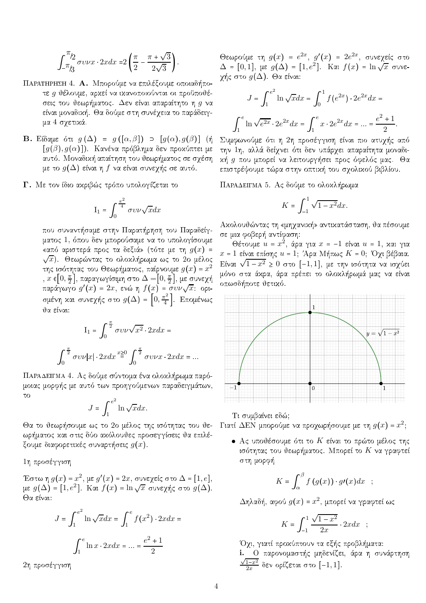$$
\int_{-\pi/3}^{\pi/2} \sigma v \nu x \cdot 2x dx = 2\left(\frac{\pi}{2} - \frac{\pi + \sqrt{3}}{2\sqrt{3}}\right).
$$

- ΠΑΡΑΤΗΡΗΣΗ 4. Α. Μπορούμε να επιλέξουμε οποιαδήποτε g θέλουμε, αρκεί να ικανοποιούνται οι προϋποθέσεις του θεωρήματος. Δεν είναι απαραίτητο η g να είναι μοναδική. Θα δούμε στη συνέχεια το παράδειγμα 4 σχετικά.
- **B.** Είδαμε ότι  $g(\Delta) = g([\alpha, \beta])$   $\supset [g(\alpha), g(\beta)]$  (ή  $[g(\beta), g(\alpha)]$ ). Κανένα πρόβλημα δεν προχύπτει με αυτό. Μοναδική απαίτηση του θεωρήματος σε σχέση με το  $g(\Delta)$  είναι η f να είναι συνεχής σε αυτό.
- Γ. Με τον ίδιο ακριβώς τρόπο υπολογίζεται το

$$
I_1 = \int_0^{\frac{\pi^2}{4}} \sigma v \nu \sqrt{x} dx
$$

που συναντήσαμε στην Παρατήρηση του Παραδείγματος 1, όπου δεν μπορούσαμε να το υπολογίσουμε «από αριστερά προς τα δεξιά» (τότε με τη  $g(x)$  =  $\sqrt{x}$ ). Θεωρώντας το ολοχλήρωμα ως το 2ο μέλος της ισότητας του Θεωρήματος, παίρνουμε  $g(x) = x^2$ ,  $x\in[0,\frac{\pi}{2}]$ , παραγωγίσιμη στο  $\Delta=[0,\frac{\pi}{2}]$ , με συνεχή παράγωγο  $g'(x) = 2x$ , ενώ η  $f(x) = \sigma v \nu \sqrt{x}$ : optσμένη και συνεχής στο  $g(\Delta) = \left[0, \frac{\pi^2}{4}\right]$ . Επομένως θα είναι:

$$
I_1 = \int_0^{\frac{\pi}{2}} \sigma v \nu \sqrt{x^2} \cdot 2x dx =
$$

$$
\int_0^{\frac{\pi}{2}} \sigma v \nu |x| \cdot 2x dx \stackrel{x \ge 0}{=} \int_0^{\frac{\pi}{2}} \sigma v \nu x \cdot 2x dx = ...
$$

ΠΑΡΑΔΕΙΓΜΑ 4. Ας δούμε σύντομα ένα ολοκλήρωμα παρόμοιας μορφής με αυτό των προηγούμενων παραδειγμάτων,  $\tau\sigma$ 

$$
J = \int_1^{e^2} \ln \sqrt{x} dx.
$$

ωρήματος και στις δύο ακόλουθες προσεγγίσεις θα επιλέξουμε διαφορετικές συναρτήσεις  $g(x)$ .

1η προσέγγιση

Έστω η  $g(x)$  =  $x^2$ , με  $g'(x)$  =  $2x$ , συνεχείς στο  $\Delta$  =  $[1, e]$ , με  $g(\Delta) = [1, e^2]$ . Και  $f(x) = \ln \sqrt{x}$  συνεγής στο  $g(\Delta)$ . Θα είναι:

$$
J = \int_{1}^{e^{2}} \ln \sqrt{x} dx = \int_{1}^{e} f(x^{2}) \cdot 2x dx =
$$

$$
\int_{1}^{e} \ln x \cdot 2x dx = ... = \frac{e^{2} + 1}{2}
$$

2η προσέγγιση

Θεωρούμε τη  $g(x) = e^{2x}$ ,  $g'(x) = 2e^{2x}$ , συνεχείς στο  $\Delta = [0,1]$ , με  $g(\Delta) = [1,e^2]$ . Και  $f(x) = \ln \sqrt{x}$  συνεγής στο  $g(\Delta)$ . Θα είναι:

$$
J = \int_1^{e^2} \ln \sqrt{x} dx = \int_0^1 f(e^{2x}) \cdot 2e^{2x} dx =
$$

$$
\int_1^e \ln \sqrt{e^{2x}} \cdot 2e^{2x} dx = \int_1^e x \cdot 2e^{2x} dx = ... = \frac{e^2 + 1}{2}.
$$

Συμφωνούμε ότι η 2η προσέγγιση είναι πιο ατυχής από την 1η, αλλά δείχνει ότι δεν υπάρχει απαραίτητα μοναδιχή g που μπορεί να λειτουργήσει προς όφελός μας. Θα επιστρέψουμε τώρα στην οπτική του σχολικού βιβλίου.

ΠΑΡΑΔΕΙΓΜΑ 5. Ας δούμε το ολοχλήρωμα

$$
K = \int_{-1}^{1} \sqrt{1 - x^2} dx.
$$

Ακολουθώντας τη «μηχανική» αντικατάσταση, θα πέσουμε σε μια φοβερή αντίφαση:

Θέτουμε  $u = x^2$ , άρα για  $x = -1$  είναι  $u = 1$ , και για  $x = 1$  είναι επίσης  $u = 1$ ; Άρα Μήπως  $K = 0$ ; Όχι βέβαια. Είναι  $\sqrt{1-x^2} \ge 0$  στο [-1,1], με την ισότητα να ισχύει μόνο στα άχρα, άρα πρέπει το ολοχλήρωμά μας να είναι οπωσδήποτε θετικό.



Τι συμβαίνει εδώ;

Θα το θεωρήσουμε ως το 2ο μέλος της ισότητας του θε- Γιατί ΔΕΝ μπορούμε να προχωρήσουμε με τη  $g(x) = x^2$ ;

• Ας υποθέσουμε ότι το  $K$  είναι το πρώτο μέλος της ισότητας του θεωρήματος. Μπορεί το Κ να γραφτεί στη μορφή

$$
K=\int_{\alpha}^{\beta}f(g(x))\cdot g\prime(x)dx ;
$$

 $\Delta$ ηλαδή, αφού  $g(x) = x^2$ , μπορεί να γραφτεί ως

$$
K = \int_{-1}^{1} \frac{\sqrt{1 - x^2}}{2x} \cdot 2x dx \quad ;
$$

Όχι, γιατί προχύπτουν τα εξής προβλήματα: i. Ο παρονομαστής μηδενίζει, άρα η συνάρτηση  $\frac{\sqrt{1-x^2}}{2x}$  δεν ορίζεται στο  $[-1,1]$ .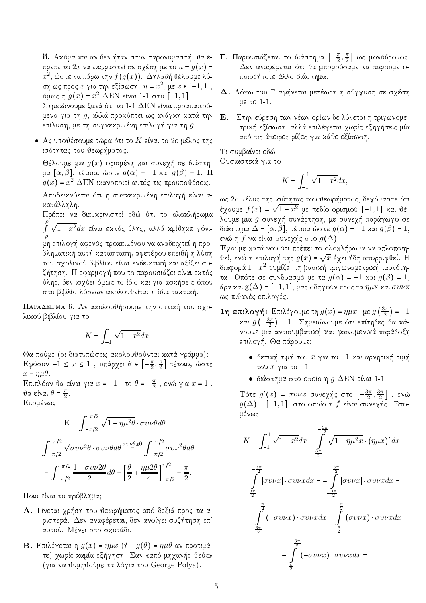ii. Ακόμα και αν δεν ήταν στον παρονομαστή, θα έπρεπε το 2x να εκφραστεί σε σχέση με το  $u = g(x) =$  $x^2$ , ώστε να πάρω την  $f(g(x))$ . Δηλαδή θέλουμε λύση ως προς  $x$  για την εξίσωση:  $u = x^2$ , με  $x \in [-1, 1]$ , όμως η  $g(x) = x^2$  ΔΕΝ είναι 1-1 στο [-1,1]. Σημειώνουμε ξανά ότι το 1-1 ΔΕΝ είναι προαπαιτούμενο για τη g, αλλά προκύπτει ως ανάγκη κατά την επίλυση, με τη συγκεκριμένη επιλογή για τη  $g$ .

· Ας υποθέσουμε τώρα ότι το  $K$  είναι το 2ο μέλος της ισότητας του θεωρήματος.

Θέλουμε μια  $g(x)$  ορισμένη και συνεχή σε διάστημα  $[\alpha, \beta]$ , τέτοια, ώστε  $g(\alpha) = -1$  και  $g(\beta) = 1$ . Η  $g(x) = x^2$  ΔΕΝ ικανοποιεί αυτές τις προϋποθέσεις.

Αποδεικνύεται ότι η συγκεκριμένη επιλογή είναι ακατάλληλη.

Πρέπει να διευχρινιστεί εδώ ότι το ολοχλήρωμα  $\int\limits_{0}^{\nu}\sqrt{1-x^2}dx$  είναι εκτός ύλης, αλλά κρίθηκε γόνιμη επιλογή αφενός προκειμένου να αναδειχτεί η προβληματική αυτή κατάσταση, αφετέρου επειδή η λύση του σχολικού βιβλίου είναι ενδεικτική και αξίζει συζήτηση. Η εφαρμογή που το παρουσιάζει είναι εκτός ύλης, δεν ισχύει όμως το ίδιο και για ασκήσεις όπου στο βιβλίο λύσεων ακολουθείται η ίδια τακτική.

ΠΑΡΑΔΕΙΓΜΑ 6. Αν ακολουθήσουμε την οπτική του σχολικού βιβλίου για το

$$
K = \int_{-1}^{1} \sqrt{1 - x^2} dx.
$$

Θα πούμε (οι διατυπώσεις ακολουθούνται κατά γράμμα):

Εφόσον -1 ≤  $x$  ≤ 1, υπάρχει θ ε  $\left[-\frac{\pi}{2},\frac{\pi}{2}\right]$  τέτοιο, ώστε  $x = \eta \mu \theta$ .

Επιπλέον θα είναι για  $x = -1$ , το  $\theta = -\frac{\pi}{2}$ , ενώ για  $x = 1$ ,  $\vartheta$ α είναι  $\theta = \frac{\pi}{2}$ . Επομένως:

$$
K = \int_{-\pi/2}^{\pi/2} \sqrt{1 - \eta \mu^2 \theta} \cdot \sigma \nu \nu \theta d\theta =
$$

$$
\int_{-\pi/2}^{\pi/2} \sqrt{\sigma \nu \nu^2 \theta} \cdot \sigma \nu \nu \theta d\theta \stackrel{\sigma \nu \nu \theta \ge 0}{=} \int_{-\pi/2}^{\pi/2} \sigma \nu \nu^2 \theta d\theta
$$

$$
= \int_{-\pi/2}^{\pi/2} \frac{1 + \sigma \nu \nu 2\theta}{2} d\theta = \left[ \frac{\theta}{2} + \frac{\eta \mu 2\theta}{4} \right]_{-\pi/2}^{\pi/2} = \frac{\pi}{2}.
$$

Ποιο είναι το πρόβλημα;

- Α. Γίνεται χρήση του θεωρήματος από δεξιά προς τα αριστερά. Δεν αναφέρεται, δεν ανοίγει συζήτηση επ΄ αυτού. Μένει στο σκοτάδι.
- **B.** Επιλέγεται η  $g(x) = \eta \mu x$  (ή..  $g(\theta) = \eta \mu \theta$  αν προτιμάτε) χωρίς καμία εξήγηση. Σαν «από μηχανής θεός» (για να θυμηθούμε τα λόγια του George Polya).
- **Γ.** Παρουσιάζεται το διάστημα  $\left[-\frac{\pi}{2},\frac{\pi}{2}\right]$  ως μονόδρομος. Δεν αναφέρεται ότι θα μπορούσαμε να πάρουμε οποιοδήποτε άλλο διάστημα.
- $\boldsymbol{\Delta}.$  Λόγω του  $\Gamma$  αφήνεται μετέωρη η σύγχυση σε σχέση με το  $1-1$ .
- Ε. Στην εύρεση των νέων ορίων δε λύνεται η τριγωνομετρική εξίσωση, αλλά επιλέγεται χωρίς εξηγήσεις μία από τις άπειρες ρίζες για κάθε εξίσωση.

Τι συμβαίνει εδώ; Ουσιαστικά για το

$$
K=\int_{-1}^1\sqrt{1-x^2}dx,
$$

ως 2ο μέλος της ισότητας του θεωρήματος, δεχόμαστε ότι έχουμε  $f(x) = \sqrt{1-x^2}$  με πεδίο ορισμού  $[-1,1]$  χαι θέλουμε μια g συνεχή συνάρτηση, με συνεχή παράγωγο σε διάστημα  $\Delta=[\alpha,\beta],$  τέτοια ώστε  $g(\alpha)$  = -1 χαι  $g(\beta)$  = 1, ενώ η  $f$  να είναι συνεχής στο  $g(\Delta).$ 

Έχουμε χατά νου ότι πρέπει το ολοχλήρωμα να απλοποιηυεί, ενώ η επιλογή της  $g(x)$  =  $\sqrt{x}$  έχει ήδη απορριφυεί. Η διαφορά  $1-x^2$  θυμίζει τη βασιχή τριγωνομετριχή ταυτότητα. Οπότε σε συνδυασμό με τα  $g(\alpha) = -1$  και  $g(\beta) = 1$ , άρα και g(Δ) = [–1,1], μας οδηγούν προς τα  $\eta\mu$ x και συ $\nu$ x ως πιθανές επιλογές.

- **1η επιλογή:** Επιλέγουμε τη  $g(x) = \eta \mu x$ , με  $g\left(\frac{3\pi}{2}\right) = -1$ και  $g\left(-\frac{3\pi}{2}\right) = 1$ . Σημειώνουμε ότι επίτηδες θα κάνουμε μια αντισυμβατική και φαινομενικά παράδοξη επιλογή. Θα πάρουμε:
	- $\bullet$  θετική τιμή του  $x$  για το -1 και αρνητική τιμή του  $x$  για το  $-1$
	- διάστημα στο οποίο η  $g$  ΔΕΝ είναι 1-1

Tότε  $g'(x)$  = συν $x$  συνεχής στο  $\left[-\frac{3\pi}{2},\frac{3\pi}{2}\right]$ , ενώ  $g(\Delta)$  = [-1,1], στο οποίο η f είναι συνεχής. Επομένως:

$$
K = \int_{-1}^{1} \sqrt{1 - x^2} dx = \int_{\frac{3\pi}{2}}^{-\frac{3\pi}{2}} \sqrt{1 - \eta \mu^2 x} \cdot (\eta \mu x)' dx =
$$

$$
\int_{\frac{3\pi}{2}}^{-\frac{3\pi}{2}} |\sigma v v x| \cdot \sigma v v x dx = -\int_{-\frac{3\pi}{2}}^{\frac{3\pi}{2}} |\sigma v v x| \cdot \sigma v v x dx =
$$

$$
-\int_{-\frac{\pi}{2}}^{-\frac{\pi}{2}} (-\sigma v v x) \cdot \sigma v v x dx - \int_{-\frac{\pi}{2}}^{\frac{\pi}{2}} (\sigma v v x) \cdot \sigma v v x dx
$$

$$
-\int_{-\frac{\pi}{2}}^{-\frac{3\pi}{2}} (-\sigma v v x) \cdot \sigma v v x dx =
$$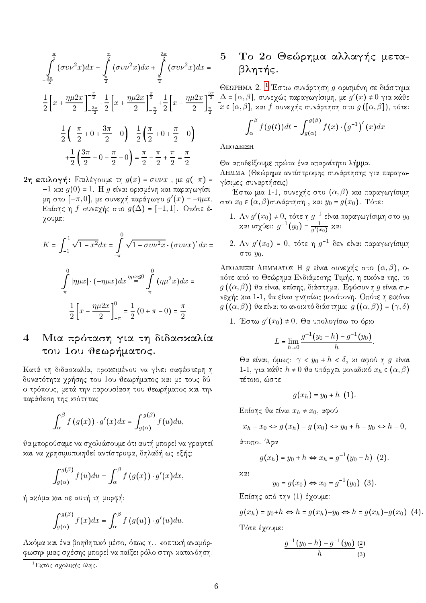$$
\int_{\frac{3\pi}{2}}^{-\frac{\pi}{2}} (\sigma v \nu^2 x) dx - \int_{-\frac{\pi}{2}}^{\frac{\pi}{2}} (\sigma v \nu^2 x) dx + \int_{\frac{\pi}{2}}^{\frac{3\pi}{2}} (\sigma v \nu^2 x) dx =
$$

$$
\frac{1}{2}\left[x + \frac{\eta\mu 2x}{2}\right]_{-\frac{3\pi}{2}}^{-\frac{\pi}{2}} - \frac{1}{2}\left[x + \frac{\eta\mu 2x}{2}\right]_{-\frac{\pi}{2}}^{\frac{\pi}{2}} + \frac{1}{2}\left[x + \frac{\eta\mu 2x}{2}\right]_{\frac{\pi}{2}}^{\frac{3\pi}{2}}
$$

$$
\frac{1}{2}\left(-\frac{\pi}{2} + 0 + \frac{3\pi}{2} - 0\right) - \frac{1}{2}\left(\frac{\pi}{2} + 0 + \frac{\pi}{2} - 0\right)
$$

$$
+\frac{1}{2}\left(\frac{3\pi}{2} + 0 - \frac{\pi}{2} - 0\right) = \frac{\pi}{2} - \frac{\pi}{2} + \frac{\pi}{2} = \frac{\pi}{2}
$$

2η επιλογή: Επιλέγουμε τη  $g(x) = \sigma v \nu x$ , με  $g(-\pi) =$ -1 και  $g(0)$  = 1. Η  $g$  είναι ορισμένη και παραγωγίσιμη στο  $[-\pi,0]$ , με συνεχή παράγωγο  $g'(x) = -\eta \mu x$ . Επίσης η f συνεχής στο  $g(\Delta) = [-1,1]$ . Οπότε έχουμε:

$$
K = \int_{-1}^{1} \sqrt{1 - x^2} dx = \int_{-\pi}^{0} \sqrt{1 - \sigma v \nu^2 x} \cdot (\sigma v \nu x)' dx =
$$

$$
\int_{-\pi}^{0} |\eta \mu x| \cdot (-\eta \mu x) dx \stackrel{\eta \mu x \le 0}{=} \int_{-\pi}^{0} (\eta \mu^2 x) dx =
$$

$$
\frac{1}{2} \left[ x - \frac{\eta \mu 2x}{2} \right]_{-\pi}^{0} = \frac{1}{2} (0 + \pi - 0) = \frac{\pi}{2}
$$

#### Μια πρόταση για τη διδασκαλία  $\overline{4}$ του 1ου θεωρήματος.

Κατά τη διδασκαλία, προκειμένου να γίνει σαφέστερη η δυνατότητα χρήσης του 1ου θεωρήματος και με τους δύο τρόπους, μετά την παρουσίαση του θεωρήματος και την παράθεση της ισότητας

$$
\int_{\alpha}^{\beta} f(g(x)) \cdot g'(x) dx = \int_{g(\alpha)}^{g(\beta)} f(u) du,
$$

θα μπορούσαμε να σχολιάσουμε ότι αυτή μπορεί να γραφτεί και να χρησιμοποιηθεί αντίστροφα, δηλαδή ως εξής:

$$
\int_{g(\alpha)}^{g(\beta)} f(u) du = \int_{\alpha}^{\beta} f(g(x)) \cdot g'(x) dx,
$$

ή ακόμα και σε αυτή τη μορφή:

$$
\int_{g(\alpha)}^{g(\beta)} f(x)dx = \int_{\alpha}^{\beta} f(g(u)) \cdot g'(u)du.
$$

Ακόμα και ένα βοηθητικό μέσο, όπως η.. «οπτική αναμόρφωση» μιας σχέσης μπορεί να παίξει ρόλο στην κατανόηση.

#### Το 2ο Θεώρημα αλλαγής μετα- $\overline{5}$ βλητής.

ΘεΩΡΗΜΑ 2. <sup>1</sup> Έστω συνάρτηση g ορισμένη σε διάστημα  $\Delta = [\alpha, \beta]$ , συνεχώς παραγωγίσιμη, με  $g'(x) \neq 0$  για κάθε  $\bar{\bar{x}}$  ε  $[\alpha,\beta],$  χαι  $f$  συνεχής συνάρτηση στο  $g\left(\left[\alpha,\beta\right]\right),$  τότε:

$$
\int_{\alpha}^{\beta} f(g(t))dt = \int_{g(\alpha)}^{g(\beta)} f(x) \cdot (g^{-1})'(x) dx
$$

ΑΠΟΔΕΙΞΗ

Θα αποδείξουμε πρώτα ένα απαραίτητο λήμμα. ΛΗΜΜΑ (Θεώρημα αντίστροφης συνάρτησης για παραγωγίσιμες συναρτήσεις)

Έστω μια 1-1, συνεχής στο  $(\alpha,\beta)$  και παραγωγίσιμη στο  $x_0$  ε  $(\alpha,\beta)$ συνάρτηση , και  $y_0$  =  $g(x_0)$ . Τότε:

- 1. Αν  $g'(x_0) \neq 0$ , τότε η  $g^{-1}$  είναι παραγωγίσιμη στο  $y_0$ <br>xαι ισχύει:  $g^{-1}(y_0) = \frac{1}{g'(x_0)}$  xαι
- 2. Αν  $g'(x_0) = 0$ , τότε η  $g^{-1}$  δεν είναι παραγωγίσιμη στο  $y_0$ .

AΠΟΔΕΙΞΗ ΛΗΜΜΑΤΟΣ Η g είναι συνεχής στο  $(\alpha, \beta)$ , oπότε από το Θεώρημα Ενδιάμεσης Τιμής, η εικόνα της, το  $g\left(\left(\alpha,\beta\right)\right)$  θα είναι, επίσης, διάστημα. Εφόσον η  $g$  είναι συνεχής και 1-1, θα είναι γνησίως μονότονη. Οπότε η εικόνα  $g((\alpha,\beta))$  θα είναι το ανοικτό διάστημα:  $g((\alpha,\beta))$  =  $(\gamma,\delta)$ 

1. Έστω  $g'(x_0) \neq 0$ . Θα υπολογίσω το όριο

$$
L = \lim_{h \to 0} \frac{g^{-1}(y_0 + h) - g^{-1}(y_0)}{h}.
$$

Θα είναι, όμως:  $\gamma < y_0 + h < \delta$ , χι αφού η g είναι 1-1, για κάθε  $h \neq 0$  θα υπάρχει μοναδικό  $x_h \in (\alpha, \beta)$ τέτοιο, ώστε

$$
g(x_h) = y_0 + h(1)
$$

Επίσης θα είναι  $x_h \neq x_0$ , αφού

$$
x_h = x_0 \Leftrightarrow g(x_h) = g(x_0) \Leftrightarrow y_0 + h = y_0 \Leftrightarrow h = 0,
$$

άτοπο. Άρα

$$
g(x_h) = y_0 + h \Leftrightarrow x_h = g^{-1}(y_0 + h) \tag{2}.
$$

χαι

$$
y_0 = g(x_0) \Leftrightarrow x_0 = g^{-1}(y_0)
$$
 (3).

Επίσης από την (1) έχουμε:

 $g(x_h) = y_0 + h \Leftrightarrow h = g(x_h) - y_0 \Leftrightarrow h = g(x_h) - g(x_0)$  (4). Τότε έχουμε:

$$
\frac{g^{-1}(y_0+h)-g^{-1}(y_0)}{h}\frac{(\frac{2}{5})}{(\frac{3}{5})}
$$

<span id="page-5-0"></span>ι<br><sup>1</sup>Εκτός σχολικής ύλης.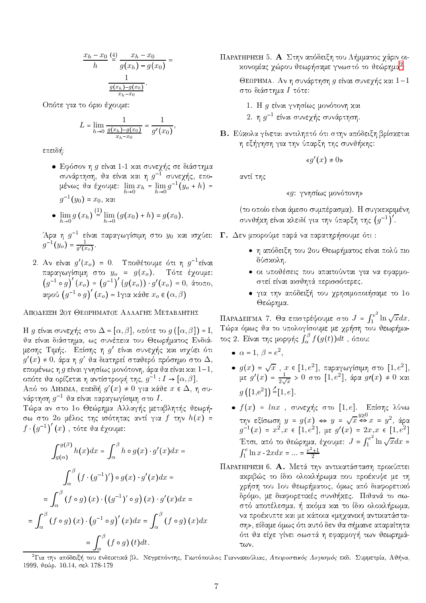$$
\frac{x_h - x_0}{h} \stackrel{(4)}{=} \frac{x_h - x_0}{g(x_h) - g(x_0)} = \frac{1}{\frac{g(x_h) - g(x_0)}{x_h - x_0}}.
$$

Οπότε για το όριο έχουμε:

$$
L = \lim_{h \to 0} \frac{1}{\frac{g(x_h) - g(x_0)}{x_h - x_0}} = \frac{1}{g'(x_0)},
$$

επειδή:

- · Εφόσον η g είναι 1-1 και συνεχής σε διάστημα συνάρτηση, θα είναι και η  $g^{-1}$  συνεχής, επομένως θα έχουμε:  $\lim_{h\to 0} x_h = \lim_{h\to 0} g^{-1}(y_o + h) =$  $q^{-1}(y_0) = x_0, x_0$
- $\lim_{h \to 0} g(x_h) \stackrel{(1)}{=} \lim_{h \to 0} (g(x_0) + h) = g(x_0).$

Άρα η  $g^{-1}$  είναι παραγωγίσιμη στο  $y_0$  και ισχύει:<br>  $g^{-1}(y_o) = \frac{1}{g'(x_o)}$ .

2. Αν είναι  $g'(x_o) = 0$ . Υποθέτουμε ότι η  $g^{-1}$ είναι παραγωγίσιμη στο  $y_o = g(x_o)$ . Τότε έχουμε:<br>  $(g^{-1} \circ g)'(x_o) = (g^{-1})' (g(x_o)) \cdot g'(x_o) = 0$ , άτοπο, αφού  $(g^{-1} \circ g)'(x_o) = 1$ για κάθε  $x_o \in (\alpha, \beta)$ 

### ΑΠΟΔΕΙΞΗ 20Υ ΘΕΩΡΗΜΑΤΟΣ ΑΛΛΑΓΗΣ ΜΕΤΑΒΛΗΤΗΣ

Η g είναι συνεχής στο  $\Delta = [\alpha, \beta]$ , οπότε το g( $[\alpha, \beta]$ ) = I, θα είναι διάστημα, ως συνέπεια του Θεωρήματος Ενδιάμεσης Τιμής. Επίσης η  $g'$  είναι συνεχής χαι ισχύει ότι  $g'(x) \neq 0$ , άρα η  $g'$  θα διατηρεί σταθερό πρόσημο στο Δ, επομένως η  $g$  είναι γνησίως μονότονη, άρα θα είναι και  $1-1$ , οπότε θα ορίζεται η αντίστροφή της,  $g^{-1}: I \rightarrow [\alpha, \beta]$ .

Aπό το ΛΗΜΜΑ, επειδή  $g'(x) \neq 0$  για κάθε  $x \in \Delta$ , η συνάρτηση  $g^{-1}$  θα είναι παραγωγίσιμη στο  $I$ .

Τώρα αν στο 1ο Θεώρημα Αλλαγής μεταβλητής θεωρήσω στο 2ο μέλος της ισότητας αντί για  $f$  την  $h(x)$  =  $f \cdot (q^{-1})' (x)$ , τότε θα έγουμε:

$$
\int_{g(\alpha)}^{g(\beta)} h(x)dx = \int_{\alpha}^{\beta} h \circ g(x) \cdot g'(x)dx =
$$
\n
$$
\int_{\alpha}^{\beta} (f \cdot (g^{-1})') \circ g(x) \cdot g'(x)dx =
$$
\n
$$
= \int_{\alpha}^{\beta} (f \circ g)(x) \cdot ((g^{-1})' \circ g)(x) \cdot g'(x)dx =
$$
\n
$$
= \int_{\alpha}^{\beta} (f \circ g)(x) \cdot (g^{-1} \circ g)'(x)dx = \int_{\alpha}^{\beta} (f \circ g)(x)dx
$$
\n
$$
= \int_{\alpha}^{\beta} (f \circ g)(t)dt.
$$

ΠΑΡΑΤΗΡΗΣΗ 5. Α Στην απόδειξη του Λήμματος χάριν οικονομίας γώρου θεωρήσαμε γνωστό το θεώρημα<sup>2</sup>:

ΘεΩΡΗΜΑ. Αν η συνάρτηση  $g$  είναι συνεχής και  $1-1$ στο διάστημα Ι τότε:

- 1. Η g είναι γνησίως μονότονη και
- 2. η  $g^{-1}$  είναι συνεγής συνάρτηση.
- Β. Εύχολα γίνεται αντιληπτό ότι στην απόδειξη βρίσχεται η εξήγηση για την ύπαρξη της συνθήχης:

 $\kappa q'(x) \neq 0$ 

αντί της

$$
\text{``}g\colon\thinspace\gamma\nu\eta\sigma\text{i}\omega\varsigma\thinspace\mu\text{o}\nu\text{o}\tau\text{o}\nu\eta\text{''}
$$

(το οποίο είναι άμεσο συμπέρασμα). Η συγκεκριμένη συνθήκη είναι κλειδί για την ύπαρξη της  $(g^{-1})'$ .

- Γ. Δεν μπορούμε παρά να παρατηρήσουμε ότι:
	- η απόδειξη του 2ου Θεωρήματος είναι πολύ πιο δύσκολη.
	- οι υποθέσεις που απαιτούνται για να εφαρμοστεί είναι αισθητά περισσότερες.
	- για την απόδειξή του χρησιμοποιήσαμε το 1ο Θεώρημα.

ΠΑΡΑΔΕΙΓΜΑ 7. Θα επιστρέψουμε στο  $J = \int_1^{e^2} \ln \sqrt{x} dx$ .<br>Τώρα όμως θα το υπολογίσουμε με χρήση του θεωρήματος 2. Είναι της μορφής  $\int_{\alpha}^{\beta} f(g(t)) dt$ , όπου:

- $\alpha = 1$ ,  $\beta = e^2$ .
- $g(x) = \sqrt{x}$ ,  $x \in [1, e^2]$ , παραγωγίσιμη στο  $[1, e^2]$ ,<br>
με  $g'(x) = \frac{1}{2\sqrt{x}} > 0$  στο  $[1, e^2]$ , άρα  $g\prime(x) \neq 0$  χαι  $g([1,e^2]) \leq [1,e].$
- $\bullet$   $f(x)$  =  $ln x$  , συνεχής στο [1, e]. Επίσης λύνω την εξίσωση  $y = g(x)$  ⇔  $y = \sqrt{x}$  ⇔  $x = y^2$ , άρα<br>  $g^{-1}(x) = x^2, x \in [1, e^2]$ , με  $g'(x) = 2x, x \in [1, e^2]$ Έτσι, από το θεώρημα, έχουμε:  $J = \int_1^{e^2} \ln \sqrt{x} dx =$ <br> $\int_1^e \ln x \cdot 2x dx = ... = \frac{e^2 + 1}{2}$
- ΠΑΡΑΤΗΡΗΣΗ 6. Α. Μετά την αντικατάσταση προκύπτει αχριβώς το ίδιο ολοχλήρωμα που προέχυψε με τη χρήση του 1ου θεωρήματος, όμως από διαφορετικό δρόμο, με διαφορετικές συνθήκες. Πιθανά το σωστό αποτέλεσμα, ή ακόμα και το ίδιο ολοκλήρωμα, να προέχυπτε χαι με χάποια «μηχανική αντικατάσταση», είδαμε όμως ότι αυτό δεν θα σήμαινε απαραίτητα ότι θα είχε γίνει σωστά η εφαρμογή των θεωρημάτων.

<span id="page-6-0"></span><sup>&</sup>lt;sup>2</sup>Για την απόδειξή του ενδεικτικά βλ. Νεγρεπόντης, Γιωτόπουλος Γιαννακούλιας, Απειροστικός Λογισμός εκδ. Συμμετρία, Αθήνα, 1999, θεώρ. 10.14, σελ 178-179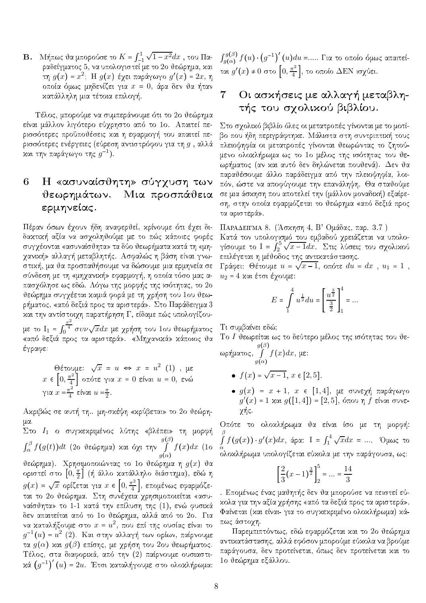**B.** Μήπως θα μπορούσε το  $K = \int_{-1}^{1} \sqrt{1 - x^2} dx$ , του Παραδείγματος 5, να υπολογιστεί με το 2ο θεώρημα, και τη  $g(x) = x^2$ ; Η  $g(x)$  έχει παράγωγο  $g'(x) = 2x$ , η οποία όμως μηδενίζει για  $x = 0$ , άρα δεν θα ήταν κατάλληλη μια τέτοια επιλογή.

Τέλος, μπορούμε να συμπεράνουμε ότι το 2ο θεώρημα είναι μάλλον λιγότερο εύχρηστο από το 1ο. Απαιτεί περισσότερες προϋποθέσεις χαι η εφαρμογή του απαιτεί περισσότερες ενέργειες (εύρεση αντιστρόφου για τη  $g$  , αλλά και την παράγωγο της  $q^{-1}$ ).

## 6 Η «ασυναίσθητη» σύγχυση των θεωρημάτων. Μια προσπάθεια ερμηνείας.

Πέραν όσων έχουν ήδη αναφερθεί, κρίνουμε ότι έχει διδαχτιχή αξία να ασχοληθούμε με το πώς χάποιες φορές συγχέονται «ασυναίσθητα» τα δύο θεωρήματα κατά τη «μηχανική» αλλαγή μεταβλητής. Ασφαλώς η βάση είναι γνωστιχή, μα θα προσπαθήσουμε να δώσουμε μια ερμηνεία σε σύνδεση με τη «μηχανική» εφαρμογή, η οποία τόσο μας απασχόλησε ως εδώ. Λόγω της μορφής της ισότητας, το 2ο θεώρημα συγχέεται καμιά φορά με τη χρήση του 1ου θεωρήματος, «από δεξιά προς τα αριστερά». Στο Παράδειγμα 3 και την αντίστοιχη παρατήρηση Γ, είδαμε πώς υπολογίζουμε το  $I_1 = \int_0^{\frac{\pi^2}{4}} \sigma v \nu \sqrt{x} dx$  με χρήση του 1ου θεωρήματος<br>«από δεξιά προς τα αριστερά». «Μηχανικά» κάποιος θα

έγραφε:

Θέτουμε: 
$$
\sqrt{x} = u \Leftrightarrow x = u^2
$$
 (1), με  
\n $x \in [0, \frac{\pi^2}{4}]$  οπότε για  $x = 0$  είναι  $u = 0$ , ενώ  
\nγια  $x = \frac{\pi^2}{4}$  είναι  $u = \frac{\pi}{2}$ .

Ακριβώς σε αυτή τη.. μη-σκέψη «κρύβεται» το 2ο θεώρημα.

μα.<br>
Στο  $I_1$  ο συγκεκριμένος λύτης «βλέπει» τη μορφή<br>  $\int_{\alpha}^{\beta} f(g(t))dt$  (2ο θεώρημα) και όχι την  $\int_{g(\alpha)}^{g(\beta)} f(x)dx$  (1ο θεώρημα). Χρησιμοποιώντας το 1ο θεώρημα η  $g(x)$  θα οριστεί στο  $\left[0,\frac{\pi}{2}\right]$  (ή άλλο χατάλληλο διάστημα), εδώ η  $g(x) = \sqrt{x}$  ορίζεται για  $x \in \left[0, \frac{\pi^2}{4}\right]$ , επομένως εφαρμόζεται το 2ο θεώρημα. Στη συνέχεια χρησιμοποιείται «ασυναίσθητα» το 1-1 κατά την επίλυση της (1), ενώ φυσικά δεν απαιτείται από το 1ο θεώρημα, αλλά από το 2ο. Για να καταλήξουμε στο  $x = u^2$ , που επί της ουσίας είναι το  $g^{-1}(u) = u^2$  (2). Και στην αλλαγή των ορίων, παίρνουμε τα  $g(\alpha)$  και  $g(\beta)$  επίσης, με χρήση του 2ου θεωρήματος. Τέλος, στα διαφορικά, από την (2) παίρνουμε ουσιαστι $x\alpha$   $(g^{-1})'(u) = 2u$ . Έτσι καταλήγουμε στο ολοκλήρωμα:

 $\int_{q(\alpha)}^{g(\beta)} f(u) \cdot (g^{-1})'(u) du =$ ..... Για το οποίο όμως απαιτείται  $g'(x) \neq 0$  στο  $\left[0, \frac{\pi^2}{4}\right]$ , το οποίο ΔΕΝ ισχύει.

### Οι ασκήσεις με αλλαγή μεταβλη-7 τής του σχολικού βιβλίου.

Στο σχολικό βιβλίο όλες οι μετατροπές γίνονται με το μοτίβο που ήδη περιγράφτηκε. Μάλιστα στη συντριπτική τους πλειοψηφία οι μετατροπές γίνονται θεωρώντας το ζητούμενο ολοχλήρωμα ως το 1ο μέλος της ισότητας του θεωρήματος (αν και αυτό δεν δηλώνεται πουθενά). Δεν θα παραθέσουμε άλλο παράδειγμα από την πλειοψηφία, λοιπόν, ώστε να αποφύγουμε την επανάληψη. Θα σταθούμε σε μια άσκηση που αποτελεί την (μάλλον μοναδική) εξαίρεση, στην οποία εφαρμόζεται το θεώρημα «από δεξιά προς τα αριστερά».

ΠΑΡΑΔΕΙΓΜΑ 8. (Άσκηση 4, Β' Ομάδας, παρ. 3.7) Κατά τον υπολογισμό του εμβαδού χρειάζεται να υπολογίσουμε το I =  $\int_{2}^{5} \sqrt{x-1} dx$ . Στις λύσεις του σχολικού επιλέγεται η μέθοδος της αντικατάστασης.

Γράφει: Θέτουμε  $u = \sqrt{x-1}$ , οπότε  $du = dx$ ,  $u_1 = 1$ ,  $u_2 = 4$  και έτσι έχουμε:

$$
E = \int_{1}^{4} u^{\frac{1}{2}} du = \left[ \frac{u^{\frac{3}{2}}}{\frac{3}{2}} \right]_{1}^{4} = \dots
$$

Τι συμβαίνει εδώ;

Το Ι θεωρείται ως το δεύτερο μέλος της ισότητας του θεωρήματος,  $\int_{a(\alpha)}^{g(\beta)} f(x)dx$ , με:

- $f(x) = \sqrt{x-1}, x \in [2,5].$
- $\bullet$  g(x) = x + 1, x ε [1,4], με συνεχή παράγωγο  $g'(x)$  = 1 και  $g([1, 4])$  = [2,5], όπου η f είναι συνεχής.

Οπότε το ολοχλήρωμα θα είναι ίσο με τη μορφή:  $\int_{\alpha}^{\beta} f(g(x)) \cdot g'(x) dx$ , άρα: I =  $\int_{1}^{4} \sqrt{x} dx$  = .... Όμως το ολοκλήρωμα υπολογίζεται εύκολα με την παράγουσα, ως:

$$
\left[\frac{2}{3}(x-1)^{\frac{3}{2}}\right]_2^5 = \dots = \frac{14}{3}
$$

. Επομένως ένας μαθητής δεν θα μπορούσε να πειστεί εύκολα για την αξία χρήσης «από τα δεξιά προς τα αριστερά». Φαίνεται (και είναι- για το συγκεκριμένο ολοκλήρωμα) κάπως άστοχη.

Παρεμπιπτόντως, εδώ εφαρμόζεται και το 2ο θεώρημα αντικατάστασης, αλλά εφόσον μπορούμε εύκολα να βρούμε παράγουσα, δεν προτείνεται, όπως δεν προτείνεται και το 1ο θεώρημα εξάλλου.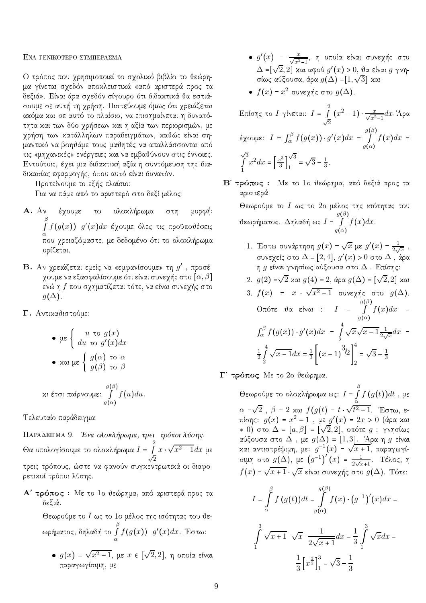### ENA TENIKOTEPO STMIIEPA EMA

Ο τρόπος που χρησιμοποιεί το σχολικό βιβλίο το θεώρημα γίνεται σχεδόν αποχλειστιχά «από αριστερά προς τα δεξιά». Είναι άρα σχεδόν σίγουρο ότι διδακτικά θα εστιάσουμε σε αυτή τη χρήση. Πιστεύουμε όμως ότι χρειάζεται axόμα xαι σε αυτό το πλαίσιο, να επισημαίνεται η δυνατότητα και των δύο χρήσεων και η αξία των περιορισμών, με χρήση των χατάλληλων παραδειγμάτων, χαθώς είναι σημαντικό να βοηθάμε τους μαθητές να απαλλάσσονται από τις «μηχανικές» ενέργειες και να εμβαθύνουν στις έννοιες. Εντούτοις, έχει μια διδακτική αξία η συντόμευση της διαδικασίας εφαρμογής, όπου αυτό είναι δυνατόν.

Προτείνουμε το εξής πλαίσιο:

Για να πάμε από το αριστερό στο δεξί μέλος:

- A. Αν έχουμε το ολοχλήρωμα στη μορφή: β <sup>R</sup> α  $f(g(x))$  g'(x)dx έχουμε όλες τις προϋποθέσεις pou qreiazìmaste, me dedomèno ìti to olokl rwma ορίζεται.
- $\, {\bf B}.\,$  Αν χρειάζεται εμείς να «εμφανίσουμε» τη  $g^\prime\,$  , προσέχουμε να εξασφαλίσουμε ότι είναι συνεχής στο  $[\alpha, \beta]$ ενώ η  $f$  που σχηματίζεται τότε, να είναι συνεχής στο  $g(\Delta)$ .
- Γ. Αντικαθιστούμε:

\n- \n
$$
\mu \in \n \begin{cases}\n u \text{ to } g(x) \\
 du \text{ to } g'(x) \, dx\n \end{cases}
$$
\n
\n- \n $\alpha \text{ and } \mu \in \n \begin{cases}\n g(\alpha) \text{ to } \alpha \\
 g(\beta) \text{ to } \beta\n \end{cases}$ \n
\n

$$
xι έτσι παίρνουμε: ∫ f(u)du.
$$
  

$$
g(α)
$$

Tελευταίο παράδειγμα:

ΠΑΡΑΔΕΙΓΜΑ 9. Ένα ολοκλήρωμα, τρει τρόποι λύσης. Θα υπολογίσουμε το ολοχλήρωμα  $I =$ 2  $\sqrt{2}$  $x \sqrt{x^2-1} dx$  με , trìpous de la fanoÖn suggestie na fanoÖn suggestie de la fanoÖn suggestie de la fanoÖn suggestie de la fanoÖ ρετικοί τρόποι λύσης.

Α' τρόπος : Με το 1ο θεώρημα, από αριστερά προς τα δεξιά.

Θεωρούμε το  $I$  ως το 1ο μέλος της ισότητας του θεwr matomatological contracts and the contracts of the contracts of the contracts of the contracts of the contracts of the contracts of the contracts of the contracts of the contracts of the contracts of the contracts of th β  $\alpha$  $f(g(x))$  g'(x)dx. Έστω:

 $\bullet$   $g(x)$  =  $\sqrt{x^2-1}$ , με  $x \in [\sqrt{2},2]$ , η οποία είναι παραγωγίσιμη, με

- $\bullet$  g'(x) =  $\frac{x}{\sqrt{x^2-1}}$ , η οποία είναι συνεχής στο  $\Delta$  =[ $\sqrt{2},2$ ] και αφού  $g'(x)>0,$  θα είναι  $g$  γνησίως αύξουσα, άρα  $g(\Delta)$  = $[1,\sqrt{3}]$  και
- $\bullet$   $f(x)$  =  $x^2$  συνεχής στο  $g(\Delta)$ .

 ${\rm E}$ πίσης το  $I$  γίνεται:  $I$  = 2  $\sqrt{2}$  $(x^2-1)\cdot \frac{x}{\sqrt{x^2-1}}dx$ . Άρα έχουμε:  $I = \int_{\alpha}^{\beta}$  $\int_{\alpha}^{\alpha} f(g(x)) \cdot g'(x) dx =$  $g(\beta)$  $g(\alpha)$  $f(x)dx =$  $\sqrt{3}$  $\int_0^{\infty} x^2 dx = \left[ \frac{x^3}{3} \right]$ 1 3 J  $\sqrt{3}$ 1  $\sqrt{3} - \frac{1}{3}$ .

B' τρόπος : Mε το 1ο θεώρημα, από δεξιά προς τα αριστερά.

Θεωρούμε το  $I$  ως το 2ο μέλος της ισότητας του θεωρήματος.  $\Delta$ ηλαδή ως  $I$  =  $g(\beta)$  $g(\alpha)$  $f(x)dx$ .

- 1. Έστω συνάρτηση  $g(x) = \sqrt{x}$  με  $g'(x) = \frac{1}{2\sqrt{x}}$ , συνεχείς στο  $\Delta$  =  $[2,4],\,g'(x)>0$  στο  $\Delta$  , άρα η  $g$  είναι γνησίως αύξουσα στο  $\Delta$ . Επίσης:
- 2.  $g(2)$  = $\sqrt{2}$  και  $g(4)$  = 2, άρα  $g(\Delta)$  =  $[\sqrt{2},2]$  και
- 3.  $f(x)$  =  $x$  ·  $\sqrt{x^2-1}$  συνεχής στο  $g(\Delta)$ .  $O$ πότε θα είναι :  $I =$  $g(\beta)$  $\check{g(\alpha)}$  $f(x)dx =$  $\int_{\alpha}^{\beta}$  $\int_{\alpha}^{\alpha} f(g(x)) \cdot g'(x) dx =$ 4  $\frac{5}{2}$  $\sqrt{x}\sqrt{x-1}\frac{1}{2}$  $\frac{1}{2\sqrt{x}}dx$  = 1 2 4  $\frac{5}{2}$  $\sqrt{x-1}dx = \frac{1}{3}(x-1)$  $\left\lceil \frac{3}{2} \right\rceil$ 4 2  $\sqrt{3} - \frac{1}{3}$
- Γ' τρόπος Με το 2ο θεώρημα.

Θεωρούμε το ολοχλήρωμα ως:  $I =$ β  $\int f\left(g(t)\right)$ dt , με α  $\alpha$  = $\sqrt{2}$  ,  $\beta$  = 2 και  $f(g(t)$  =  $t \cdot \sqrt{t^2-1}$ . Έστω, επίσης:  $g(x)$  =  $x^2 - 1$  , με  $g'(x)$  = 2 $x > 0$  (άρα χαι  $\phi \neq 0)$  στο  $\Delta$  =  $[a, \beta]$  =  $[\sqrt{2}, 2],$  οπότε  $g$  : γνησίως αύξουσα στο  $\Delta$ , με  $g(\Delta) = [1, 3]$ . Άρα η g είναι και αντιστρέψιμη, με:  $g^{-1}(x)$  =  $\sqrt{x+1},$  παραγωγίσιμη στο  $g(\Delta)$ , με  $(g^{-1})'(x) = \frac{1}{2\sqrt{x+1}}$ . Τέλος, η  $f(x)$  =  $\sqrt{x+1}\cdot\sqrt{x}$  είναι συνεχής στο  $g(\Delta)$ . Τότε:

$$
I = \int_{\alpha}^{\beta} f(g(t))dt = \int_{g(\alpha)}^{g(\beta)} f(x) \cdot (g^{-1})'(x)dx =
$$

$$
\int_{1}^{3} \sqrt{x+1} \sqrt{x} \frac{1}{2\sqrt{x+1}} dx = \frac{1}{3} \int_{1}^{3} \sqrt{x} dx =
$$

$$
\frac{1}{3} \left[ x^{\frac{3}{2}} \right]_{1}^{3} = \sqrt{3} - \frac{1}{3}
$$